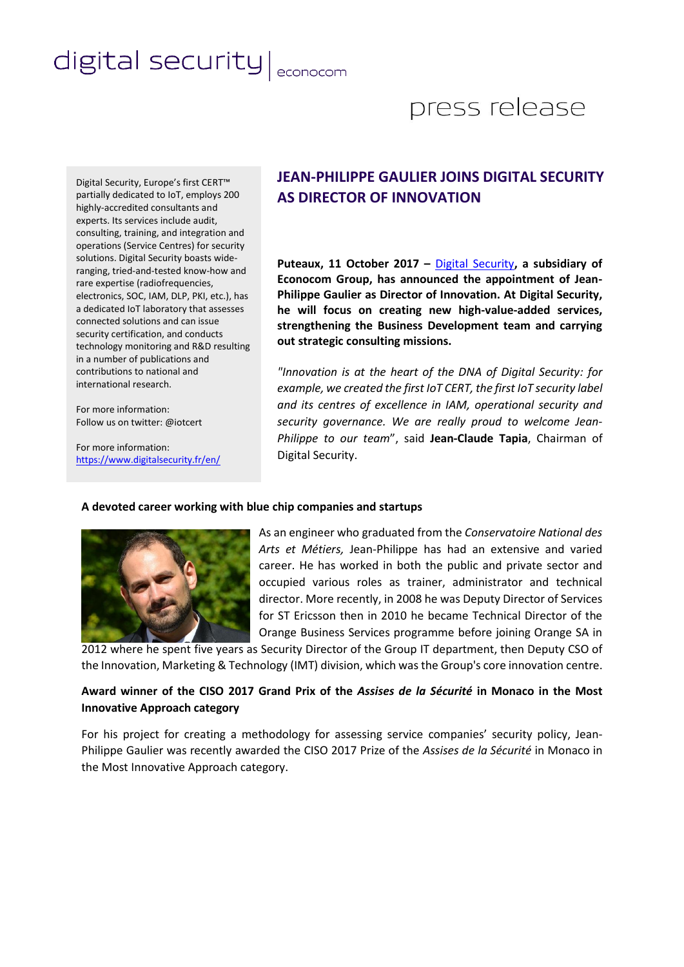# digital security | econocom

## press release

Digital Security, Europe's first CERT™ partially dedicated to IoT, employs 200 highly-accredited consultants and experts. Its services include audit, consulting, training, and integration and operations (Service Centres) for security solutions. Digital Security boasts wideranging, tried-and-tested know-how and rare expertise (radiofrequencies, electronics, SOC, IAM, DLP, PKI, etc.), has a dedicated IoT laboratory that assesses connected solutions and can issue security certification, and conducts technology monitoring and R&D resulting in a number of publications and contributions to national and international research.

For more information: Follow us on twitter: @iotcert

For more information: <https://www.digitalsecurity.fr/en/>

### **JEAN-PHILIPPE GAULIER JOINS DIGITAL SECURITY AS DIRECTOR OF INNOVATION**

**Puteaux, 11 October 2017 –** [Digital Security](https://www.digitalsecurity.fr/en/)**, a subsidiary of Econocom Group, has announced the appointment of Jean-Philippe Gaulier as Director of Innovation. At Digital Security, he will focus on creating new high-value-added services, strengthening the Business Development team and carrying out strategic consulting missions.**

*"Innovation is at the heart of the DNA of Digital Security: for example, we created the first IoT CERT, the first IoT security label and its centres of excellence in IAM, operational security and security governance. We are really proud to welcome Jean-Philippe to our team*", said **Jean-Claude Tapia**, Chairman of Digital Security.

#### **A devoted career working with blue chip companies and startups**



As an engineer who graduated from the *Conservatoire National des Arts et Métiers,* Jean-Philippe has had an extensive and varied career. He has worked in both the public and private sector and occupied various roles as trainer, administrator and technical director. More recently, in 2008 he was Deputy Director of Services for ST Ericsson then in 2010 he became Technical Director of the Orange Business Services programme before joining Orange SA in

2012 where he spent five years as Security Director of the Group IT department, then Deputy CSO of the Innovation, Marketing & Technology (IMT) division, which was the Group's core innovation centre.

#### **Award winner of the CISO 2017 Grand Prix of the** *Assises de la Sécurité* **in Monaco in the Most Innovative Approach category**

For his project for creating a methodology for assessing service companies' security policy, Jean-Philippe Gaulier was recently awarded the CISO 2017 Prize of the *Assises de la Sécurité* in Monaco in the Most Innovative Approach category.